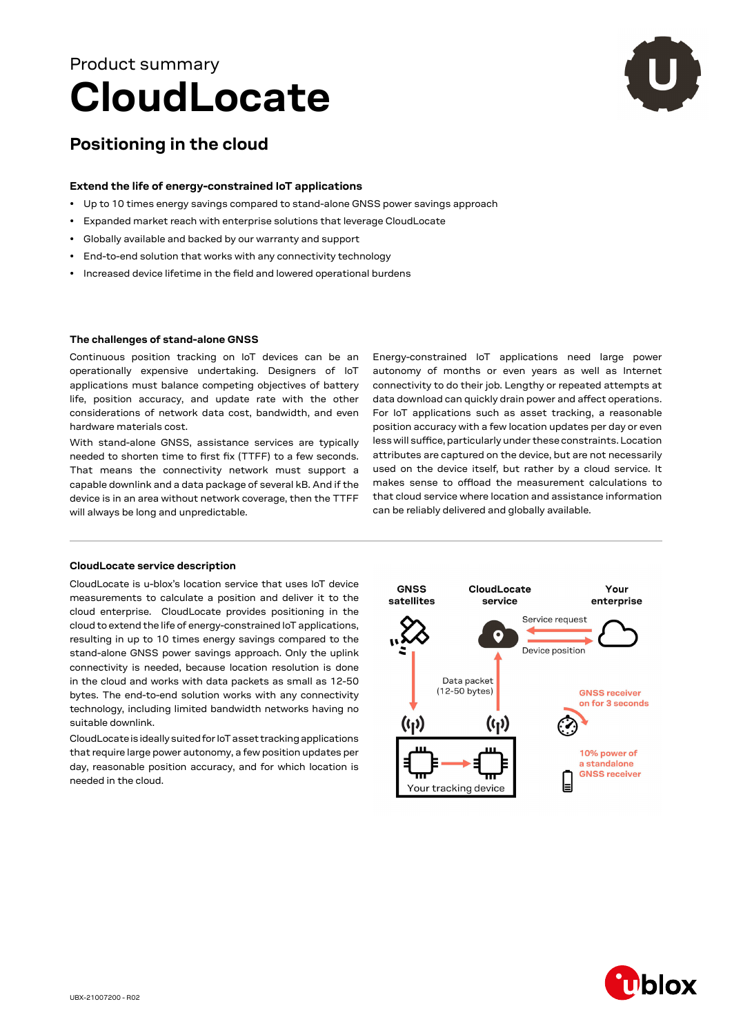# **CloudLocate** Product summary



# **Positioning in the cloud**

### **Extend the life of energy-constrained IoT applications**

- Up to 10 times energy savings compared to stand-alone GNSS power savings approach
- Expanded market reach with enterprise solutions that leverage CloudLocate
- Globally available and backed by our warranty and support
- End-to-end solution that works with any connectivity technology
- Increased device lifetime in the field and lowered operational burdens

#### **The challenges of stand-alone GNSS**

Continuous position tracking on IoT devices can be an operationally expensive undertaking. Designers of IoT applications must balance competing objectives of battery life, position accuracy, and update rate with the other considerations of network data cost, bandwidth, and even hardware materials cost.

With stand-alone GNSS, assistance services are typically needed to shorten time to first fix (TTFF) to a few seconds. That means the connectivity network must support a capable downlink and a data package of several kB. And if the device is in an area without network coverage, then the TTFF will always be long and unpredictable.

## Energy-constrained IoT applications need large power autonomy of months or even years as well as Internet connectivity to do their job. Lengthy or repeated attempts at data download can quickly drain power and affect operations. For IoT applications such as asset tracking, a reasonable position accuracy with a few location updates per day or even less will suffice, particularly under these constraints. Location attributes are captured on the device, but are not necessarily used on the device itself, but rather by a cloud service. It makes sense to offload the measurement calculations to that cloud service where location and assistance information can be reliably delivered and globally available.

#### **CloudLocate service description**

CloudLocate is u-blox's location service that uses IoT device measurements to calculate a position and deliver it to the cloud enterprise. CloudLocate provides positioning in the cloud to extend the life of energy-constrained IoT applications, resulting in up to 10 times energy savings compared to the stand-alone GNSS power savings approach. Only the uplink connectivity is needed, because location resolution is done in the cloud and works with data packets as small as 12-50 bytes. The end-to-end solution works with any connectivity technology, including limited bandwidth networks having no suitable downlink.

CloudLocate is ideally suited for IoT asset tracking applications that require large power autonomy, a few position updates per day, reasonable position accuracy, and for which location is needed in the cloud.